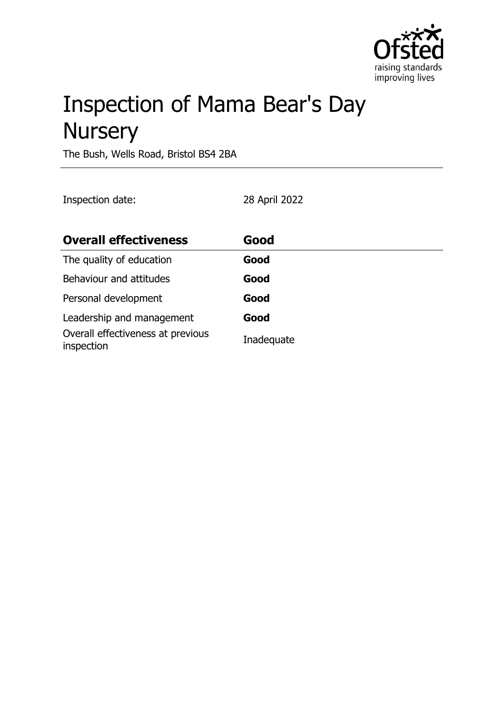

# Inspection of Mama Bear's Day **Nursery**

The Bush, Wells Road, Bristol BS4 2BA

Inspection date: 28 April 2022

| <b>Overall effectiveness</b>                    | Good       |
|-------------------------------------------------|------------|
| The quality of education                        | Good       |
| Behaviour and attitudes                         | Good       |
| Personal development                            | Good       |
| Leadership and management                       | Good       |
| Overall effectiveness at previous<br>inspection | Inadequate |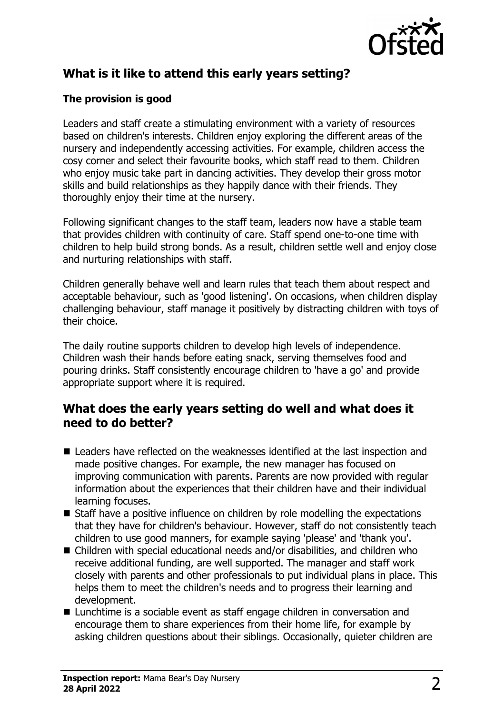

## **What is it like to attend this early years setting?**

#### **The provision is good**

Leaders and staff create a stimulating environment with a variety of resources based on children's interests. Children enjoy exploring the different areas of the nursery and independently accessing activities. For example, children access the cosy corner and select their favourite books, which staff read to them. Children who enjoy music take part in dancing activities. They develop their gross motor skills and build relationships as they happily dance with their friends. They thoroughly enjoy their time at the nursery.

Following significant changes to the staff team, leaders now have a stable team that provides children with continuity of care. Staff spend one-to-one time with children to help build strong bonds. As a result, children settle well and enjoy close and nurturing relationships with staff.

Children generally behave well and learn rules that teach them about respect and acceptable behaviour, such as 'good listening'. On occasions, when children display challenging behaviour, staff manage it positively by distracting children with toys of their choice.

The daily routine supports children to develop high levels of independence. Children wash their hands before eating snack, serving themselves food and pouring drinks. Staff consistently encourage children to 'have a go' and provide appropriate support where it is required.

#### **What does the early years setting do well and what does it need to do better?**

- Leaders have reflected on the weaknesses identified at the last inspection and made positive changes. For example, the new manager has focused on improving communication with parents. Parents are now provided with regular information about the experiences that their children have and their individual learning focuses.
- $\blacksquare$  Staff have a positive influence on children by role modelling the expectations that they have for children's behaviour. However, staff do not consistently teach children to use good manners, for example saying 'please' and 'thank you'.
- $\blacksquare$  Children with special educational needs and/or disabilities, and children who receive additional funding, are well supported. The manager and staff work closely with parents and other professionals to put individual plans in place. This helps them to meet the children's needs and to progress their learning and development.
- Lunchtime is a sociable event as staff engage children in conversation and encourage them to share experiences from their home life, for example by asking children questions about their siblings. Occasionally, quieter children are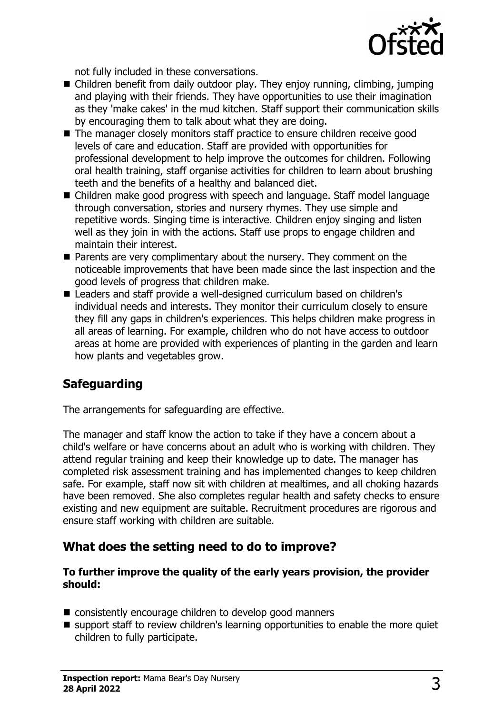

not fully included in these conversations.

- $\blacksquare$  Children benefit from daily outdoor play. They enjoy running, climbing, jumping and playing with their friends. They have opportunities to use their imagination as they 'make cakes' in the mud kitchen. Staff support their communication skills by encouraging them to talk about what they are doing.
- $\blacksquare$  The manager closely monitors staff practice to ensure children receive good levels of care and education. Staff are provided with opportunities for professional development to help improve the outcomes for children. Following oral health training, staff organise activities for children to learn about brushing teeth and the benefits of a healthy and balanced diet.
- Children make good progress with speech and language. Staff model language through conversation, stories and nursery rhymes. They use simple and repetitive words. Singing time is interactive. Children enjoy singing and listen well as they join in with the actions. Staff use props to engage children and maintain their interest.
- $\blacksquare$  Parents are very complimentary about the nursery. They comment on the noticeable improvements that have been made since the last inspection and the good levels of progress that children make.
- Leaders and staff provide a well-designed curriculum based on children's individual needs and interests. They monitor their curriculum closely to ensure they fill any gaps in children's experiences. This helps children make progress in all areas of learning. For example, children who do not have access to outdoor areas at home are provided with experiences of planting in the garden and learn how plants and vegetables grow.

# **Safeguarding**

The arrangements for safeguarding are effective.

The manager and staff know the action to take if they have a concern about a child's welfare or have concerns about an adult who is working with children. They attend regular training and keep their knowledge up to date. The manager has completed risk assessment training and has implemented changes to keep children safe. For example, staff now sit with children at mealtimes, and all choking hazards have been removed. She also completes regular health and safety checks to ensure existing and new equipment are suitable. Recruitment procedures are rigorous and ensure staff working with children are suitable.

## **What does the setting need to do to improve?**

#### **To further improve the quality of the early years provision, the provider should:**

- $\blacksquare$  consistently encourage children to develop good manners
- $\blacksquare$  support staff to review children's learning opportunities to enable the more quiet children to fully participate.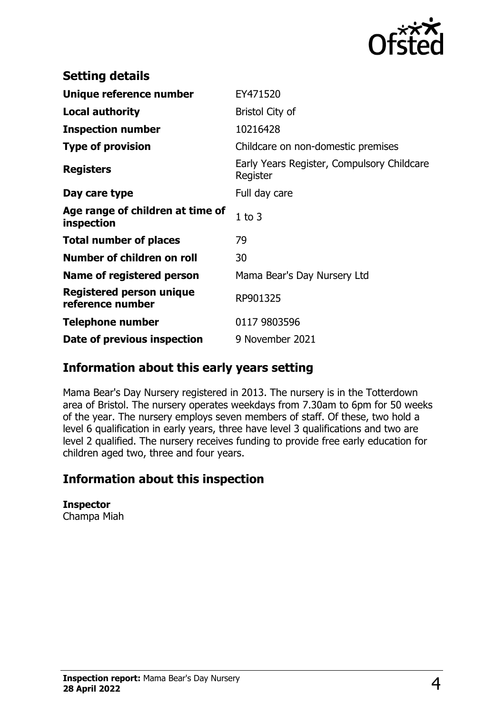

| <b>Setting details</b>                              |                                                        |
|-----------------------------------------------------|--------------------------------------------------------|
| Unique reference number                             | EY471520                                               |
| <b>Local authority</b>                              | Bristol City of                                        |
| <b>Inspection number</b>                            | 10216428                                               |
| <b>Type of provision</b>                            | Childcare on non-domestic premises                     |
| <b>Registers</b>                                    | Early Years Register, Compulsory Childcare<br>Register |
| Day care type                                       | Full day care                                          |
| Age range of children at time of<br>inspection      | $1$ to $3$                                             |
| <b>Total number of places</b>                       | 79                                                     |
| Number of children on roll                          | 30                                                     |
| Name of registered person                           | Mama Bear's Day Nursery Ltd                            |
| <b>Registered person unique</b><br>reference number | RP901325                                               |
| <b>Telephone number</b>                             | 0117 9803596                                           |
| Date of previous inspection                         | 9 November 2021                                        |

## **Information about this early years setting**

Mama Bear's Day Nursery registered in 2013. The nursery is in the Totterdown area of Bristol. The nursery operates weekdays from 7.30am to 6pm for 50 weeks of the year. The nursery employs seven members of staff. Of these, two hold a level 6 qualification in early years, three have level 3 qualifications and two are level 2 qualified. The nursery receives funding to provide free early education for children aged two, three and four years.

## **Information about this inspection**

**Inspector** Champa Miah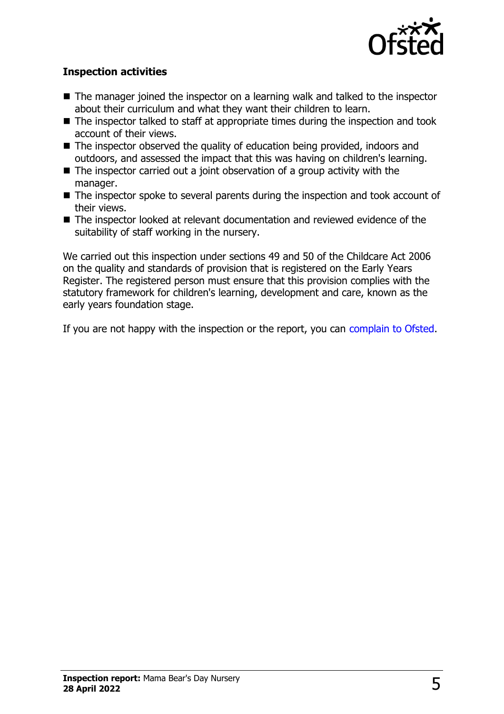

#### **Inspection activities**

- $\blacksquare$  The manager joined the inspector on a learning walk and talked to the inspector about their curriculum and what they want their children to learn.
- $\blacksquare$  The inspector talked to staff at appropriate times during the inspection and took account of their views.
- $\blacksquare$  The inspector observed the quality of education being provided, indoors and outdoors, and assessed the impact that this was having on children's learning.
- $\blacksquare$  The inspector carried out a joint observation of a group activity with the manager.
- $\blacksquare$  The inspector spoke to several parents during the inspection and took account of their views.
- The inspector looked at relevant documentation and reviewed evidence of the suitability of staff working in the nursery.

We carried out this inspection under sections 49 and 50 of the Childcare Act 2006 on the quality and standards of provision that is registered on the Early Years Register. The registered person must ensure that this provision complies with the statutory framework for children's learning, development and care, known as the early years foundation stage.

If you are not happy with the inspection or the report, you can [complain to Ofsted](http://www.gov.uk/complain-ofsted-report).